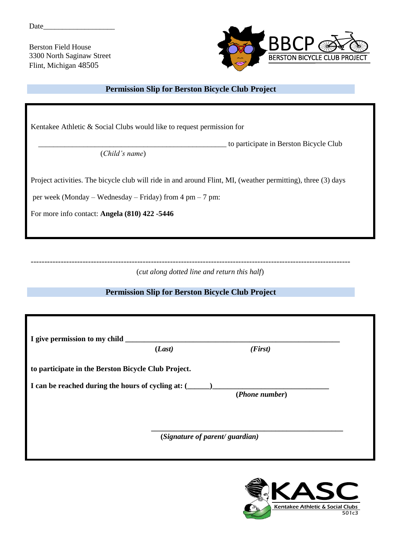Date\_

Berston Field House 3300 North Saginaw Street Flint, Michigan 48505



## **Permission Slip for Berston Bicycle Club Project**

Kentakee Athletic & Social Clubs would like to request permission for

to participate in Berston Bicycle Club

(*Child's name*)

Project activities. The bicycle club will ride in and around Flint, MI, (weather permitting), three (3) days

per week (Monday – Wednesday – Friday) from 4 pm – 7 pm:

For more info contact: **Angela (810) 422 -5446**

---------------------------------------------------------------------------------------------------------------------

(*cut along dotted line and return this half*)

## **Permission Slip for Berston Bicycle Club Project**

| I give permission to my child                       | (Last)                         | (First)        |  |
|-----------------------------------------------------|--------------------------------|----------------|--|
| to participate in the Berston Bicycle Club Project. |                                |                |  |
| I can be reached during the hours of cycling at: (  |                                | (Phone number) |  |
|                                                     | (Signature of parent/guardian) |                |  |

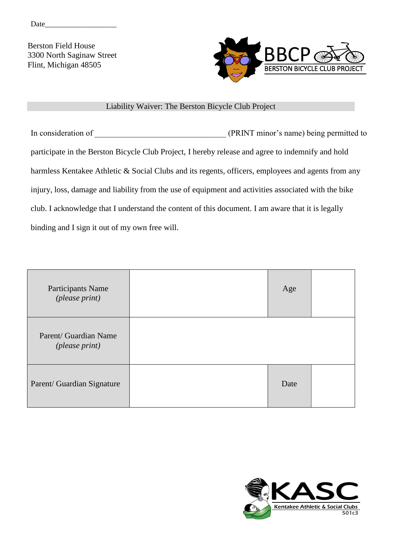Date\_\_\_\_\_\_\_\_\_\_\_\_\_\_\_\_\_\_\_

Berston Field House 3300 North Saginaw Street Flint, Michigan 48505



## Liability Waiver: The Berston Bicycle Club Project

In consideration of \_\_\_\_\_\_\_\_\_\_\_\_\_\_\_\_\_\_\_\_\_\_\_\_\_\_\_\_\_\_\_\_ (PRINT minor's name) being permitted to participate in the Berston Bicycle Club Project, I hereby release and agree to indemnify and hold harmless Kentakee Athletic & Social Clubs and its regents, officers, employees and agents from any injury, loss, damage and liability from the use of equipment and activities associated with the bike club. I acknowledge that I understand the content of this document. I am aware that it is legally binding and I sign it out of my own free will.

| Participants Name<br>(please print)              | Age  |  |
|--------------------------------------------------|------|--|
| Parent/ Guardian Name<br>( <i>please print</i> ) |      |  |
| Parent/ Guardian Signature                       | Date |  |